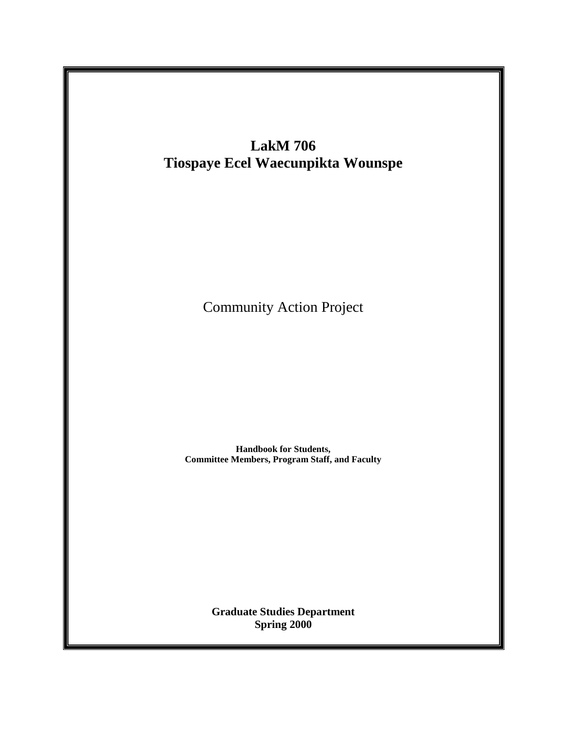

**Graduate Studies Department** Spring 2000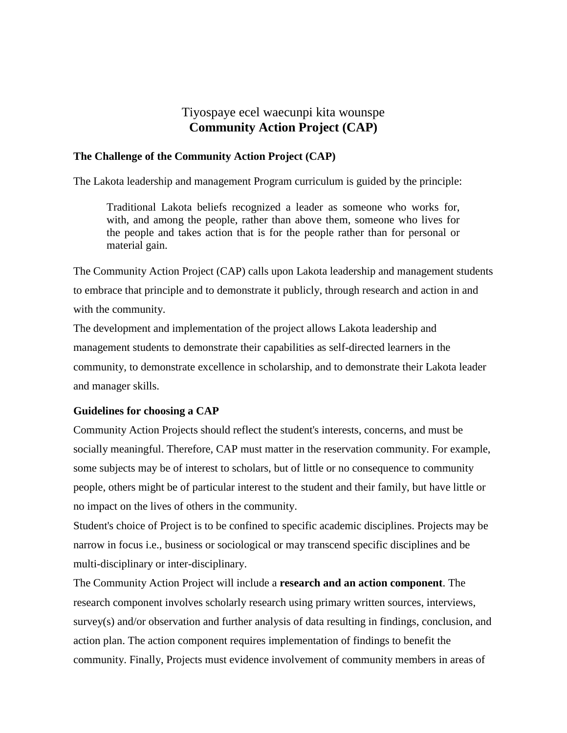# Tiyospaye ecel waecunpi kita wounspe **Community Action Project (CAP)**

#### **The Challenge of the Community Action Project (CAP)**

The Lakota leadership and management Program curriculum is guided by the principle:

Traditional Lakota beliefs recognized a leader as someone who works for, with, and among the people, rather than above them, someone who lives for the people and takes action that is for the people rather than for personal or material gain.

The Community Action Project (CAP) calls upon Lakota leadership and management students to embrace that principle and to demonstrate it publicly, through research and action in and with the community.

The development and implementation of the project allows Lakota leadership and management students to demonstrate their capabilities as self-directed learners in the community, to demonstrate excellence in scholarship, and to demonstrate their Lakota leader and manager skills.

# **Guidelines for choosing a CAP**

Community Action Projects should reflect the student's interests, concerns, and must be socially meaningful. Therefore, CAP must matter in the reservation community. For example, some subjects may be of interest to scholars, but of little or no consequence to community people, others might be of particular interest to the student and their family, but have little or no impact on the lives of others in the community.

Student's choice of Project is to be confined to specific academic disciplines. Projects may be narrow in focus i.e., business or sociological or may transcend specific disciplines and be multi-disciplinary or inter-disciplinary.

The Community Action Project will include a **research and an action component**. The research component involves scholarly research using primary written sources, interviews, survey(s) and/or observation and further analysis of data resulting in findings, conclusion, and action plan. The action component requires implementation of findings to benefit the community. Finally, Projects must evidence involvement of community members in areas of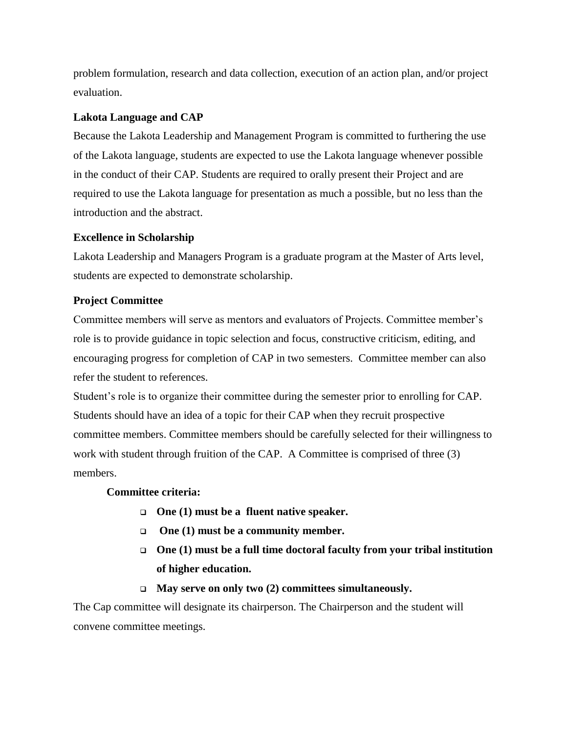problem formulation, research and data collection, execution of an action plan, and/or project evaluation.

# **Lakota Language and CAP**

Because the Lakota Leadership and Management Program is committed to furthering the use of the Lakota language, students are expected to use the Lakota language whenever possible in the conduct of their CAP. Students are required to orally present their Project and are required to use the Lakota language for presentation as much a possible, but no less than the introduction and the abstract.

#### **Excellence in Scholarship**

Lakota Leadership and Managers Program is a graduate program at the Master of Arts level, students are expected to demonstrate scholarship.

### **Project Committee**

Committee members will serve as mentors and evaluators of Projects. Committee member's role is to provide guidance in topic selection and focus, constructive criticism, editing, and encouraging progress for completion of CAP in two semesters. Committee member can also refer the student to references.

Student's role is to organize their committee during the semester prior to enrolling for CAP. Students should have an idea of a topic for their CAP when they recruit prospective committee members. Committee members should be carefully selected for their willingness to work with student through fruition of the CAP. A Committee is comprised of three (3) members.

#### **Committee criteria:**

- **One (1) must be a fluent native speaker.**
- **One (1) must be a community member.**
- **One (1) must be a full time doctoral faculty from your tribal institution of higher education.**
- **May serve on only two (2) committees simultaneously.**

The Cap committee will designate its chairperson. The Chairperson and the student will convene committee meetings.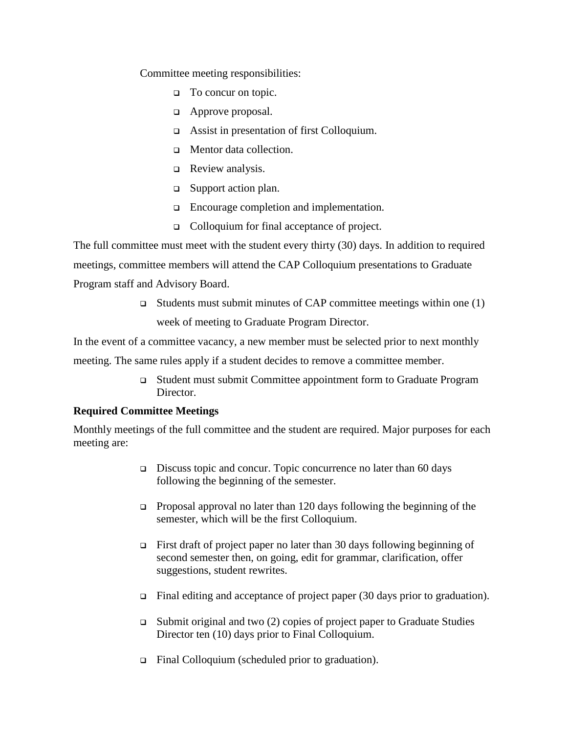Committee meeting responsibilities:

- □ To concur on topic.
- **Example 2** Approve proposal.
- Assist in presentation of first Colloquium.
- **In** Mentor data collection.
- □ Review analysis.
- □ Support action plan.
- Encourage completion and implementation.
- Colloquium for final acceptance of project.

The full committee must meet with the student every thirty (30) days. In addition to required meetings, committee members will attend the CAP Colloquium presentations to Graduate Program staff and Advisory Board.

> $\Box$  Students must submit minutes of CAP committee meetings within one (1) week of meeting to Graduate Program Director.

In the event of a committee vacancy, a new member must be selected prior to next monthly

meeting. The same rules apply if a student decides to remove a committee member.

 Student must submit Committee appointment form to Graduate Program Director.

#### **Required Committee Meetings**

Monthly meetings of the full committee and the student are required. Major purposes for each meeting are:

- Discuss topic and concur. Topic concurrence no later than 60 days following the beginning of the semester.
- **Proposal approval no later than 120 days following the beginning of the** semester, which will be the first Colloquium.
- First draft of project paper no later than 30 days following beginning of second semester then, on going, edit for grammar, clarification, offer suggestions, student rewrites.
- $\Box$  Final editing and acceptance of project paper (30 days prior to graduation).
- $\Box$  Submit original and two (2) copies of project paper to Graduate Studies Director ten (10) days prior to Final Colloquium.
- Final Colloquium (scheduled prior to graduation).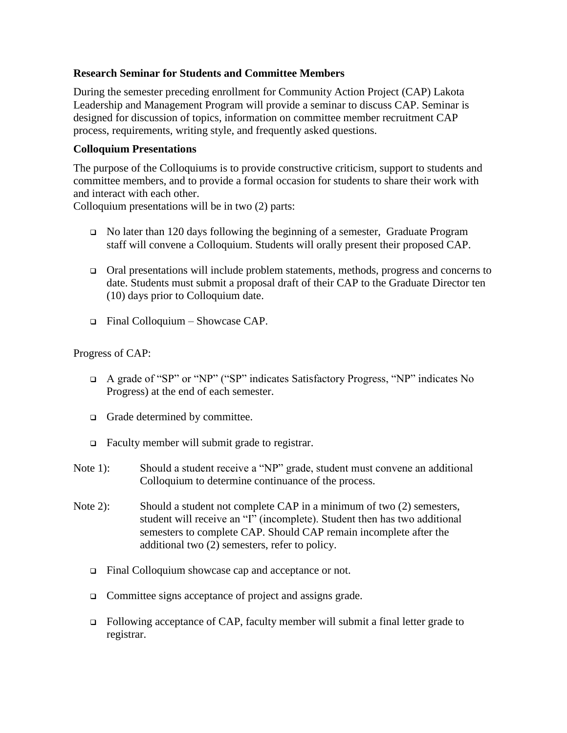### **Research Seminar for Students and Committee Members**

During the semester preceding enrollment for Community Action Project (CAP) Lakota Leadership and Management Program will provide a seminar to discuss CAP. Seminar is designed for discussion of topics, information on committee member recruitment CAP process, requirements, writing style, and frequently asked questions.

#### **Colloquium Presentations**

The purpose of the Colloquiums is to provide constructive criticism, support to students and committee members, and to provide a formal occasion for students to share their work with and interact with each other.

Colloquium presentations will be in two (2) parts:

- No later than 120 days following the beginning of a semester, Graduate Program staff will convene a Colloquium. Students will orally present their proposed CAP.
- Oral presentations will include problem statements, methods, progress and concerns to date. Students must submit a proposal draft of their CAP to the Graduate Director ten (10) days prior to Colloquium date.
- $\Box$  Final Colloquium Showcase CAP.

#### Progress of CAP:

- A grade of "SP" or "NP" ("SP" indicates Satisfactory Progress, "NP" indicates No Progress) at the end of each semester.
- Grade determined by committee.
- Faculty member will submit grade to registrar.
- Note 1): Should a student receive a "NP" grade, student must convene an additional Colloquium to determine continuance of the process.
- Note 2): Should a student not complete CAP in a minimum of two (2) semesters, student will receive an "I" (incomplete). Student then has two additional semesters to complete CAP. Should CAP remain incomplete after the additional two (2) semesters, refer to policy.
	- Final Colloquium showcase cap and acceptance or not.
	- □ Committee signs acceptance of project and assigns grade.
	- Following acceptance of CAP, faculty member will submit a final letter grade to registrar.